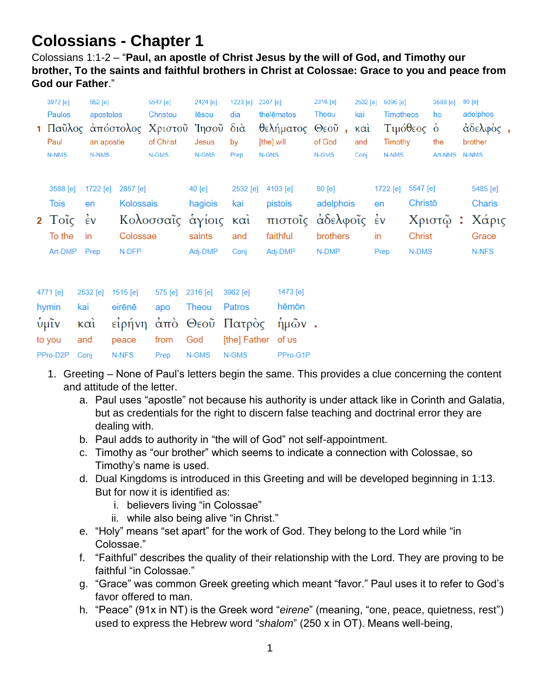## **Colossians - Chapter 1**

Colossians 1:1-2 – "**Paul, an apostle of Christ Jesus by the will of God, and Timothy our brother, To the saints and faithful brothers in Christ at Colossae: Grace to you and peace from God our Father**."

| 3972 [e]<br>Paulos<br>1 Παῦλος<br>Paul<br>N-NMS                    | 652 [e]<br>N-NMS                                    | apostolos<br>an apostle |                                                | 5547 [e]<br>Christou<br>of Christ<br>N-GMS | 2424 [e]<br>lēsou<br>άπόστολος Χριστοῦ Ἰησοῦ<br>Jesus<br>N-GMS | 1223 [e]<br>dia<br>$\delta$ ιά<br>by<br>Prep | 2307 [e]<br>thelēmatos<br>θελήματος<br>[the] will<br>N-GNS        | 2316 [e]<br>Theou<br>Θεοῦ<br>$\mathbf{r}$<br>of God<br>N-GMS | 2532 [e]<br>kai<br>$\kappa$ $\alpha$ <sup>1</sup><br>and<br>Conj | 5095 [e]<br><b>Timotheos</b><br>Timothy<br>N-NMS | Τιμόθεος ο                             | 3588 [e]<br>ho<br>the<br>Art-NMS | 80 [e]<br>adelphos<br>άδελφὸς,<br>brother<br><b>N-NMS</b> |  |
|--------------------------------------------------------------------|-----------------------------------------------------|-------------------------|------------------------------------------------|--------------------------------------------|----------------------------------------------------------------|----------------------------------------------|-------------------------------------------------------------------|--------------------------------------------------------------|------------------------------------------------------------------|--------------------------------------------------|----------------------------------------|----------------------------------|-----------------------------------------------------------|--|
| 3588 [e]<br>Tois<br>$2$ Toic $\dot{\epsilon}$<br>To the<br>Art-DMP | 1722 [e]<br>en<br>in<br>Prep                        |                         | 2857 [e]<br>Kolossais<br>Colossae<br>N-DFP     |                                            | 40 [e]<br>hagiois<br>Κολοσσαΐς αγίοις<br>saints<br>Adj-DMP     | 2532 [e]<br>kai<br>καὶ<br>and<br>Conj        | 4103 [e]<br>pistois<br>πιστοΐς άδελφοΐς έν<br>faithful<br>Adj-DMP | 80 [e]<br>adelphois<br>brothers<br>N-DMP                     |                                                                  | 1722 [e]<br>en<br>in<br>Prep                     | 5547 [e]<br>Christo<br>Christ<br>N-DMS | Χριστῷ:                          | 5485 [e]<br>Charis<br>Χάρις<br>Grace<br>N-NFS             |  |
| 4771 [e]<br>hymin<br>ΰμῖν<br>to you<br>PPro-D2P                    | 2532 [e]<br>kai<br>$\kappa$ $\alpha$<br>and<br>Conj |                         | 1515 [e]<br>eirēnē<br>είρήνη<br>peace<br>N-NFS | 575 [e]<br>apo<br>from<br>Prep             | 2316 [e]<br>Theou<br>άπὸ Θεοῦ Πατρὸς<br>God<br>N-GMS           | 3962 [e]<br>Patros<br>[the] Father<br>N-GMS  | 1473 [e]<br>hēmōn<br>$ημων$ .<br>of us<br>PPro-G1P                |                                                              |                                                                  |                                                  |                                        |                                  |                                                           |  |

- 1. Greeting None of Paul's letters begin the same. This provides a clue concerning the content and attitude of the letter.
	- a. Paul uses "apostle" not because his authority is under attack like in Corinth and Galatia, but as credentials for the right to discern false teaching and doctrinal error they are dealing with.
	- b. Paul adds to authority in "the will of God" not self-appointment.
	- c. Timothy as "our brother" which seems to indicate a connection with Colossae, so Timothy's name is used.
	- d. Dual Kingdoms is introduced in this Greeting and will be developed beginning in 1:13. But for now it is identified as:
		- i. believers living "in Colossae"
		- ii. while also being alive "in Christ."
	- e. "Holy" means "set apart" for the work of God. They belong to the Lord while "in Colossae."
	- f. "Faithful" describes the quality of their relationship with the Lord. They are proving to be faithful "in Colossae."
	- g. "Grace" was common Greek greeting which meant "favor." Paul uses it to refer to God's favor offered to man.
	- h. "Peace" (91x in NT) is the Greek word "*eirene*" (meaning, "one, peace, quietness, rest") used to express the Hebrew word "*shalom*" (250 x in OT). Means well-being,